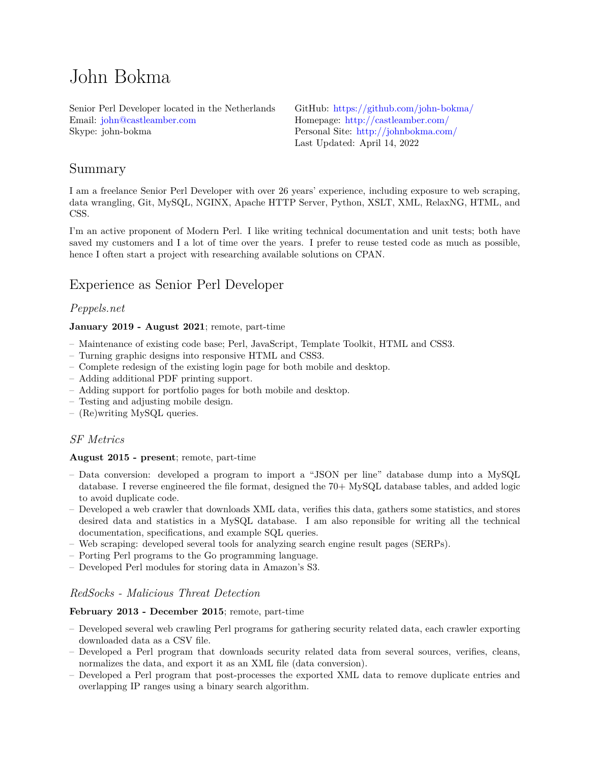# John Bokma

Senior Perl Developer located in the Netherlands Email: [john@castleamber.com](mailto:john@castleamber.com) Skype: john-bokma

GitHub: <https://github.com/john-bokma/> Homepage: <http://castleamber.com/> Personal Site: <http://johnbokma.com/> Last Updated: April 14, 2022

# Summary

I am a freelance Senior Perl Developer with over 26 years' experience, including exposure to web scraping, data wrangling, Git, MySQL, NGINX, Apache HTTP Server, Python, XSLT, XML, RelaxNG, HTML, and CSS.

I'm an active proponent of Modern Perl. I like writing technical documentation and unit tests; both have saved my customers and I a lot of time over the years. I prefer to reuse tested code as much as possible, hence I often start a project with researching available solutions on CPAN.

# Experience as Senior Perl Developer

## *Peppels.net*

#### **January 2019 - August 2021**; remote, part-time

- Maintenance of existing code base; Perl, JavaScript, Template Toolkit, HTML and CSS3.
- Turning graphic designs into responsive HTML and CSS3.
- Complete redesign of the existing login page for both mobile and desktop.
- Adding additional PDF printing support.
- Adding support for portfolio pages for both mobile and desktop.
- Testing and adjusting mobile design.
- (Re)writing MySQL queries.

#### *SF Metrics*

#### **August 2015 - present**; remote, part-time

- Data conversion: developed a program to import a "JSON per line" database dump into a MySQL database. I reverse engineered the file format, designed the 70+ MySQL database tables, and added logic to avoid duplicate code.
- Developed a web crawler that downloads XML data, verifies this data, gathers some statistics, and stores desired data and statistics in a MySQL database. I am also reponsible for writing all the technical documentation, specifications, and example SQL queries.
- Web scraping: developed several tools for analyzing search engine result pages (SERPs).
- Porting Perl programs to the Go programming language.
- Developed Perl modules for storing data in Amazon's S3.

#### *RedSocks - Malicious Threat Detection*

#### **February 2013 - December 2015**; remote, part-time

- Developed several web crawling Perl programs for gathering security related data, each crawler exporting downloaded data as a CSV file.
- Developed a Perl program that downloads security related data from several sources, verifies, cleans, normalizes the data, and export it as an XML file (data conversion).
- Developed a Perl program that post-processes the exported XML data to remove duplicate entries and overlapping IP ranges using a binary search algorithm.